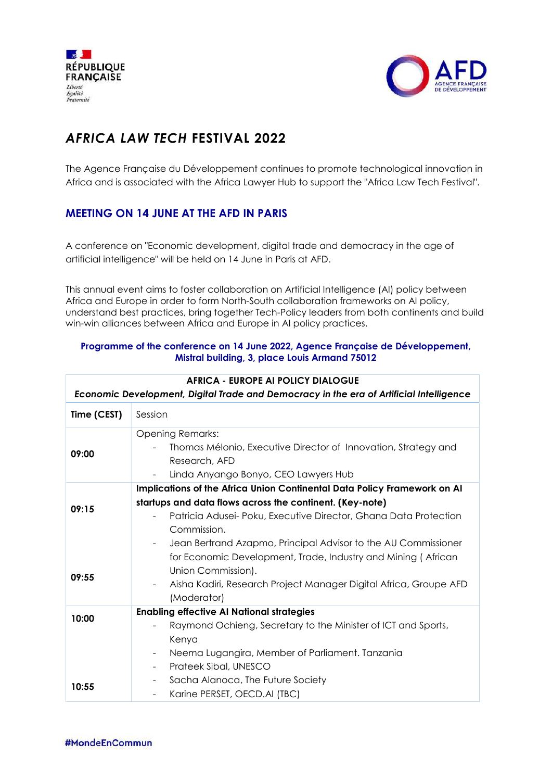



## AFRICA LAW TECH FESTIVAL 2022

The Agence Française du Développement continues to promote technological innovation in Africa and is associated with the Africa Lawyer Hub to support the "Africa Law Tech Festival".

## MEETING ON 14 JUNE AT THE AFD IN PARIS

A conference on "Economic development, digital trade and democracy in the age of artificial intelligence" will be held on 14 June in Paris at AFD.

This annual event aims to foster collaboration on Artificial Intelligence (AI) policy between Africa and Europe in order to form North-South collaboration frameworks on AI policy, understand best practices, bring together Tech-Policy leaders from both continents and build win-win alliances between Africa and Europe in AI policy practices.

## Programme of the conference on 14 June 2022, Agence Française de Développement, Mistral building, 3, place Louis Armand 75012

| AFRICA - EUROPE AI POLICY DIALOGUE<br>Economic Development, Digital Trade and Democracy in the era of Artificial Intelligence |                                                                                                                                                                                                                                                                                                                                                                                                                                                                     |  |
|-------------------------------------------------------------------------------------------------------------------------------|---------------------------------------------------------------------------------------------------------------------------------------------------------------------------------------------------------------------------------------------------------------------------------------------------------------------------------------------------------------------------------------------------------------------------------------------------------------------|--|
| Time (CEST)                                                                                                                   | Session                                                                                                                                                                                                                                                                                                                                                                                                                                                             |  |
| 09:00                                                                                                                         | <b>Opening Remarks:</b><br>Thomas Mélonio, Executive Director of Innovation, Strategy and<br>Research, AFD<br>Linda Anyango Bonyo, CEO Lawyers Hub                                                                                                                                                                                                                                                                                                                  |  |
| 09:15<br>09:55                                                                                                                | Implications of the Africa Union Continental Data Policy Framework on Al<br>startups and data flows across the continent. (Key-note)<br>Patricia Adusei-Poku, Executive Director, Ghana Data Protection<br>Commission.<br>Jean Bertrand Azapmo, Principal Advisor to the AU Commissioner<br>for Economic Development, Trade, Industry and Mining (African<br>Union Commission).<br>Aisha Kadiri, Research Project Manager Digital Africa, Groupe AFD<br>(Moderator) |  |
| 10:00                                                                                                                         | <b>Enabling effective AI National strategies</b><br>Raymond Ochieng, Secretary to the Minister of ICT and Sports,<br>Kenya<br>Neema Lugangira, Member of Parliament. Tanzania<br>Ξ.<br>Prateek Sibal, UNESCO<br>н.<br>Sacha Alanoca, The Future Society                                                                                                                                                                                                             |  |
| 10:55                                                                                                                         | Karine PERSET, OECD.AI (TBC)                                                                                                                                                                                                                                                                                                                                                                                                                                        |  |